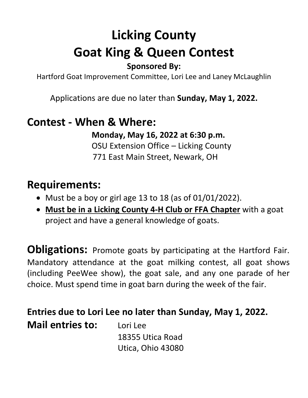# **Licking County Goat King & Queen Contest**

### **Sponsored By:**

Hartford Goat Improvement Committee, Lori Lee and Laney McLaughlin

Applications are due no later than **Sunday, May 1, 2022.**

## **Contest - When & Where:**

**Monday, May 16, 2022 at 6:30 p.m.** OSU Extension Office – Licking County 771 East Main Street, Newark, OH

## **Requirements:**

- Must be a boy or girl age 13 to 18 (as of 01/01/2022).
- **Must be in a Licking County 4-H Club or FFA Chapter** with a goat project and have a general knowledge of goats.

**Obligations:** Promote goats by participating at the Hartford Fair. Mandatory attendance at the goat milking contest, all goat shows (including PeeWee show), the goat sale, and any one parade of her choice. Must spend time in goat barn during the week of the fair.

**Entries due to Lori Lee no later than Sunday, May 1, 2022.** 

**Mail entries to:** Lori Lee 18355 Utica Road Utica, Ohio 43080